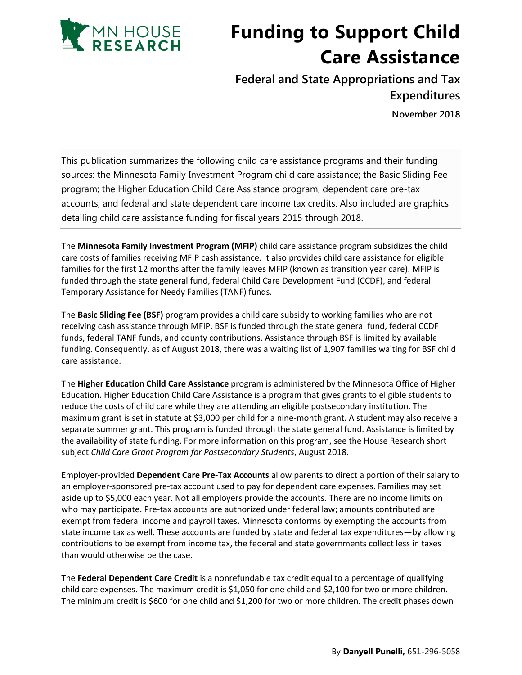

## **Funding to Support Child Care Assistance**

**Federal and State Appropriations and Tax Expenditures**

**November 2018**

This publication summarizes the following child care assistance programs and their funding sources: the Minnesota Family Investment Program child care assistance; the Basic Sliding Fee program; the Higher Education Child Care Assistance program; dependent care pre-tax accounts; and federal and state dependent care income tax credits. Also included are graphics detailing child care assistance funding for fiscal years 2015 through 2018.

The **Minnesota Family Investment Program (MFIP)** child care assistance program subsidizes the child care costs of families receiving MFIP cash assistance. It also provides child care assistance for eligible families for the first 12 months after the family leaves MFIP (known as transition year care). MFIP is funded through the state general fund, federal Child Care Development Fund (CCDF), and federal Temporary Assistance for Needy Families (TANF) funds.

The **Basic Sliding Fee (BSF)** program provides a child care subsidy to working families who are not receiving cash assistance through MFIP. BSF is funded through the state general fund, federal CCDF funds, federal TANF funds, and county contributions. Assistance through BSF is limited by available funding. Consequently, as of August 2018, there was a waiting list of 1,907 families waiting for BSF child care assistance.

The **Higher Education Child Care Assistance** program is administered by the Minnesota Office of Higher Education. Higher Education Child Care Assistance is a program that gives grants to eligible students to reduce the costs of child care while they are attending an eligible postsecondary institution. The maximum grant is set in statute at \$3,000 per child for a nine-month grant. A student may also receive a separate summer grant. This program is funded through the state general fund. Assistance is limited by the availability of state funding. For more information on this program, see the House Research short subject *Child Care Grant Program for Postsecondary Students*, August 2018.

Employer-provided **Dependent Care Pre-Tax Accounts** allow parents to direct a portion of their salary to an employer-sponsored pre-tax account used to pay for dependent care expenses. Families may set aside up to \$5,000 each year. Not all employers provide the accounts. There are no income limits on who may participate. Pre-tax accounts are authorized under federal law; amounts contributed are exempt from federal income and payroll taxes. Minnesota conforms by exempting the accounts from state income tax as well. These accounts are funded by state and federal tax expenditures—by allowing contributions to be exempt from income tax, the federal and state governments collect less in taxes than would otherwise be the case.

The **Federal Dependent Care Credit** is a nonrefundable tax credit equal to a percentage of qualifying child care expenses. The maximum credit is \$1,050 for one child and \$2,100 for two or more children. The minimum credit is \$600 for one child and \$1,200 for two or more children. The credit phases down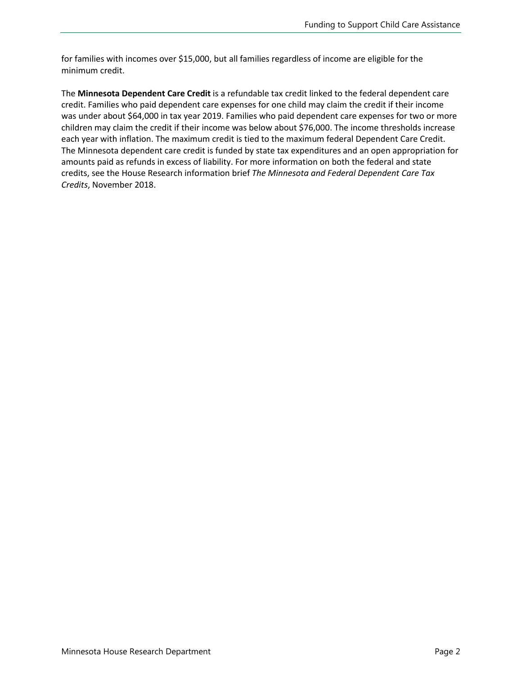for families with incomes over \$15,000, but all families regardless of income are eligible for the minimum credit.

The **Minnesota Dependent Care Credit** is a refundable tax credit linked to the federal dependent care credit. Families who paid dependent care expenses for one child may claim the credit if their income was under about \$64,000 in tax year 2019. Families who paid dependent care expenses for two or more children may claim the credit if their income was below about \$76,000. The income thresholds increase each year with inflation. The maximum credit is tied to the maximum federal Dependent Care Credit. The Minnesota dependent care credit is funded by state tax expenditures and an open appropriation for amounts paid as refunds in excess of liability. For more information on both the federal and state credits, see the House Research information brief *The Minnesota and Federal Dependent Care Tax Credits*, November 2018.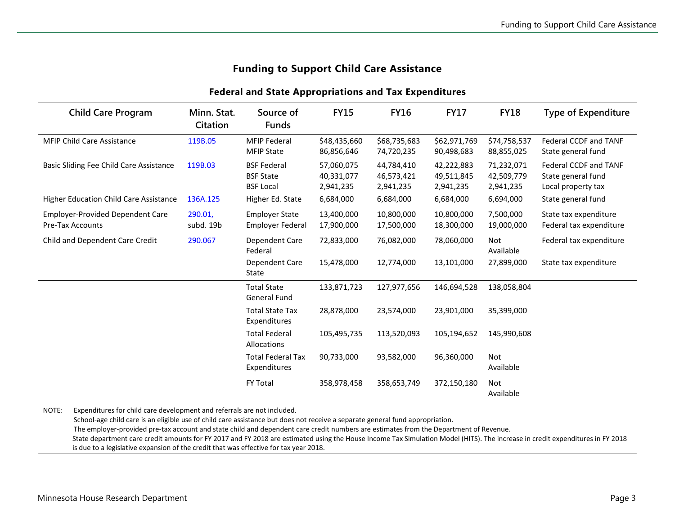## **Funding to Support Child Care Assistance**

## **Federal and State Appropriations and Tax Expenditures**

| <b>Child Care Program</b>                                                                                                                                                                                                                                                                                                                                                                                                                                                                                                                                                                                                            | Minn. Stat.<br>Citation | Source of<br><b>Funds</b>                                  | <b>FY15</b>                           | <b>FY16</b>                           | <b>FY17</b>                           | <b>FY18</b>                           | <b>Type of Expenditure</b>                                        |
|--------------------------------------------------------------------------------------------------------------------------------------------------------------------------------------------------------------------------------------------------------------------------------------------------------------------------------------------------------------------------------------------------------------------------------------------------------------------------------------------------------------------------------------------------------------------------------------------------------------------------------------|-------------------------|------------------------------------------------------------|---------------------------------------|---------------------------------------|---------------------------------------|---------------------------------------|-------------------------------------------------------------------|
| <b>MFIP Child Care Assistance</b>                                                                                                                                                                                                                                                                                                                                                                                                                                                                                                                                                                                                    | 119B.05                 | <b>MFIP Federal</b><br><b>MFIP State</b>                   | \$48,435,660<br>86,856,646            | \$68,735,683<br>74,720,235            | \$62,971,769<br>90,498,683            | \$74,758,537<br>88,855,025            | Federal CCDF and TANF<br>State general fund                       |
| Basic Sliding Fee Child Care Assistance                                                                                                                                                                                                                                                                                                                                                                                                                                                                                                                                                                                              | 119B.03                 | <b>BSF Federal</b><br><b>BSF State</b><br><b>BSF Local</b> | 57,060,075<br>40,331,077<br>2,941,235 | 44,784,410<br>46,573,421<br>2,941,235 | 42,222,883<br>49,511,845<br>2,941,235 | 71,232,071<br>42,509,779<br>2,941,235 | Federal CCDF and TANF<br>State general fund<br>Local property tax |
| <b>Higher Education Child Care Assistance</b>                                                                                                                                                                                                                                                                                                                                                                                                                                                                                                                                                                                        | 136A.125                | Higher Ed. State                                           | 6,684,000                             | 6,684,000                             | 6,684,000                             | 6,694,000                             | State general fund                                                |
| <b>Employer-Provided Dependent Care</b><br><b>Pre-Tax Accounts</b>                                                                                                                                                                                                                                                                                                                                                                                                                                                                                                                                                                   | 290.01,<br>subd. 19b    | <b>Employer State</b><br><b>Employer Federal</b>           | 13,400,000<br>17,900,000              | 10,800,000<br>17,500,000              | 10,800,000<br>18,300,000              | 7,500,000<br>19,000,000               | State tax expenditure<br>Federal tax expenditure                  |
| Child and Dependent Care Credit                                                                                                                                                                                                                                                                                                                                                                                                                                                                                                                                                                                                      | 290.067                 | Dependent Care<br>Federal                                  | 72,833,000                            | 76,082,000                            | 78,060,000                            | Not<br>Available                      | Federal tax expenditure                                           |
|                                                                                                                                                                                                                                                                                                                                                                                                                                                                                                                                                                                                                                      |                         | Dependent Care<br>State                                    | 15,478,000                            | 12,774,000                            | 13,101,000                            | 27,899,000                            | State tax expenditure                                             |
|                                                                                                                                                                                                                                                                                                                                                                                                                                                                                                                                                                                                                                      |                         | <b>Total State</b><br><b>General Fund</b>                  | 133,871,723                           | 127,977,656                           | 146,694,528                           | 138,058,804                           |                                                                   |
|                                                                                                                                                                                                                                                                                                                                                                                                                                                                                                                                                                                                                                      |                         | <b>Total State Tax</b><br>Expenditures                     | 28,878,000                            | 23,574,000                            | 23,901,000                            | 35,399,000                            |                                                                   |
|                                                                                                                                                                                                                                                                                                                                                                                                                                                                                                                                                                                                                                      |                         | <b>Total Federal</b><br>Allocations                        | 105,495,735                           | 113,520,093                           | 105,194,652                           | 145,990,608                           |                                                                   |
|                                                                                                                                                                                                                                                                                                                                                                                                                                                                                                                                                                                                                                      |                         | <b>Total Federal Tax</b><br>Expenditures                   | 90,733,000                            | 93,582,000                            | 96,360,000                            | <b>Not</b><br>Available               |                                                                   |
|                                                                                                                                                                                                                                                                                                                                                                                                                                                                                                                                                                                                                                      |                         | <b>FY Total</b>                                            | 358,978,458                           | 358,653,749                           | 372,150,180                           | Not<br>Available                      |                                                                   |
| NOTE:<br>Expenditures for child care development and referrals are not included.<br>School-age child care is an eligible use of child care assistance but does not receive a separate general fund appropriation.<br>The employer-provided pre-tax account and state child and dependent care credit numbers are estimates from the Department of Revenue.<br>State department care credit amounts for FY 2017 and FY 2018 are estimated using the House Income Tax Simulation Model (HITS). The increase in credit expenditures in FY 2018<br>is due to a legislative expansion of the credit that was effective for tax year 2018. |                         |                                                            |                                       |                                       |                                       |                                       |                                                                   |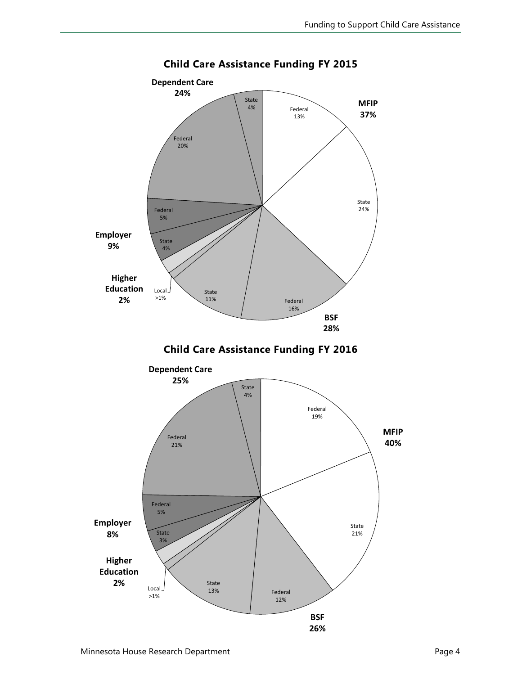

**Child Care Assistance Funding FY 2015**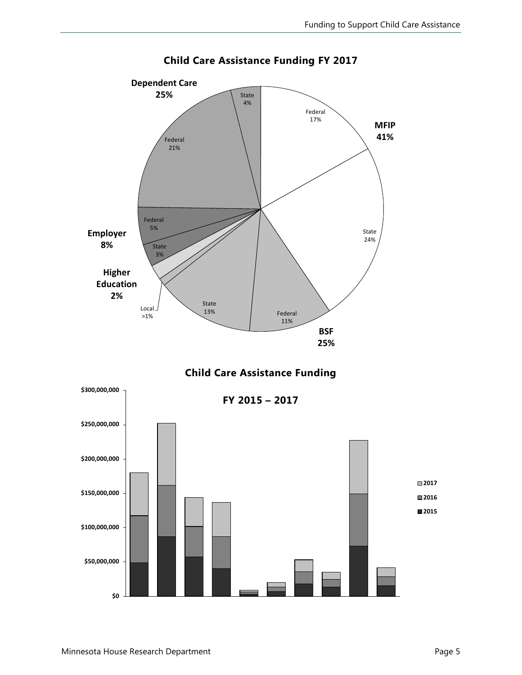

**Child Care Assistance Funding FY 2017**